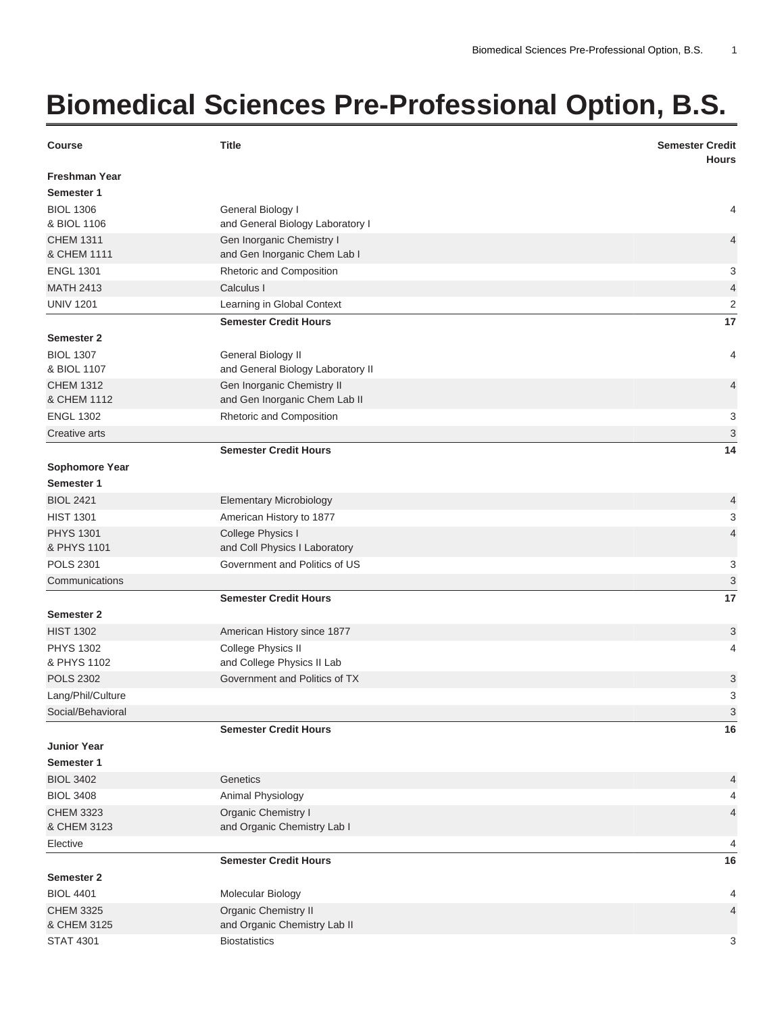## **Biomedical Sciences Pre-Professional Option, B.S.**

| <b>Course</b>                        | <b>Title</b>                                                | <b>Semester Credit</b><br><b>Hours</b> |
|--------------------------------------|-------------------------------------------------------------|----------------------------------------|
| <b>Freshman Year</b><br>Semester 1   |                                                             |                                        |
| <b>BIOL 1306</b><br>& BIOL 1106      | General Biology I<br>and General Biology Laboratory I       | 4                                      |
| <b>CHEM 1311</b>                     | Gen Inorganic Chemistry I                                   | 4                                      |
| & CHEM 1111                          | and Gen Inorganic Chem Lab I                                |                                        |
| <b>ENGL 1301</b>                     | Rhetoric and Composition                                    | 3                                      |
| <b>MATH 2413</b>                     | Calculus I                                                  | 4                                      |
| <b>UNIV 1201</b>                     | Learning in Global Context                                  | $\overline{2}$                         |
|                                      | <b>Semester Credit Hours</b>                                | 17                                     |
| <b>Semester 2</b>                    |                                                             |                                        |
| <b>BIOL 1307</b><br>& BIOL 1107      | General Biology II<br>and General Biology Laboratory II     | 4                                      |
| <b>CHEM 1312</b><br>& CHEM 1112      | Gen Inorganic Chemistry II<br>and Gen Inorganic Chem Lab II | 4                                      |
| <b>ENGL 1302</b>                     | Rhetoric and Composition                                    | 3                                      |
| Creative arts                        |                                                             | 3                                      |
|                                      | <b>Semester Credit Hours</b>                                | 14                                     |
| Sophomore Year                       |                                                             |                                        |
| Semester 1                           |                                                             |                                        |
| <b>BIOL 2421</b>                     | <b>Elementary Microbiology</b>                              | 4                                      |
| <b>HIST 1301</b>                     | American History to 1877                                    | 3                                      |
| <b>PHYS 1301</b>                     | College Physics I                                           | 4                                      |
| & PHYS 1101                          | and Coll Physics I Laboratory                               |                                        |
| <b>POLS 2301</b>                     | Government and Politics of US                               | 3                                      |
| Communications                       |                                                             | 3                                      |
|                                      | <b>Semester Credit Hours</b>                                | 17                                     |
| <b>Semester 2</b>                    |                                                             |                                        |
| <b>HIST 1302</b><br><b>PHYS 1302</b> | American History since 1877                                 | 3                                      |
| & PHYS 1102                          | College Physics II<br>and College Physics II Lab            | 4                                      |
| <b>POLS 2302</b>                     | Government and Politics of TX                               | 3                                      |
| Lang/Phil/Culture                    |                                                             | 3                                      |
| Social/Behavioral                    |                                                             | 3                                      |
|                                      | <b>Semester Credit Hours</b>                                | 16                                     |
| <b>Junior Year</b>                   |                                                             |                                        |
| Semester 1                           |                                                             |                                        |
| <b>BIOL 3402</b>                     | Genetics                                                    | 4                                      |
| <b>BIOL 3408</b>                     | Animal Physiology                                           | 4                                      |
| <b>CHEM 3323</b>                     | Organic Chemistry I                                         | $\overline{4}$                         |
| & CHEM 3123                          | and Organic Chemistry Lab I                                 |                                        |
| Elective                             |                                                             | 4                                      |
|                                      | <b>Semester Credit Hours</b>                                | 16                                     |
| <b>Semester 2</b>                    |                                                             |                                        |
| <b>BIOL 4401</b><br><b>CHEM 3325</b> | Molecular Biology<br>Organic Chemistry II                   | 4<br>4                                 |
| & CHEM 3125                          | and Organic Chemistry Lab II                                |                                        |
| <b>STAT 4301</b>                     | <b>Biostatistics</b>                                        | 3                                      |
|                                      |                                                             |                                        |